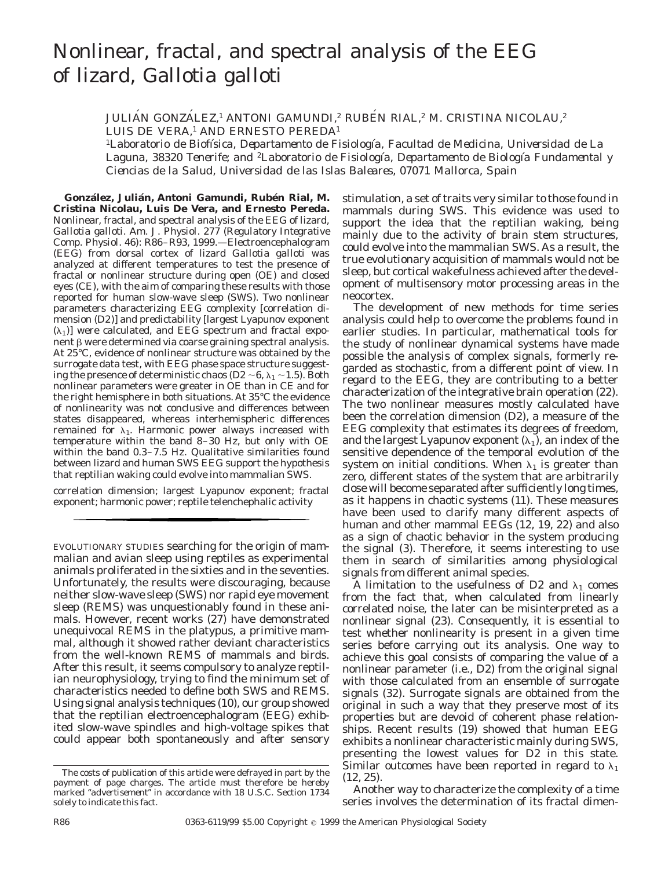# Nonlinear, fractal, and spectral analysis of the EEG of lizard, *Gallotia galloti*

## JULIAN GONZALEZ,<sup>1</sup> ANTONI GAMUNDI,<sup>2</sup> RUBEN RIAL,<sup>2</sup> M. CRISTINA NICOLAU,<sup>2</sup> LUIS DE VERA,<sup>1</sup> AND ERNESTO PEREDA<sup>1</sup>

<sup>1</sup>*Laboratorio de Biofı´sica, Departamento de Fisiologı´a, Facultad de Medicina, Universidad de La Laguna, 38320 Tenerife; and* <sup>2</sup>*Laboratorio de Fisiologı´a, Departamento de Biologı´a Fundamental y Ciencias de la Salud, Universidad de las Islas Baleares, 07071 Mallorca, Spain*

González, Julián, Antoni Gamundi, Rubén Rial, M. **Cristina Nicolau, Luis De Vera, and Ernesto Pereda.** Nonlinear, fractal, and spectral analysis of the EEG of lizard, *Gallotia galloti*. *Am. J. Physiol.* 277 (*Regulatory Integrative Comp. Physiol.* 46): R86–R93, 1999.—Electroencephalogram (EEG) from dorsal cortex of lizard *Gallotia galloti* was analyzed at different temperatures to test the presence of fractal or nonlinear structure during open (OE) and closed eyes (CE), with the aim of comparing these results with those reported for human slow-wave sleep (SWS). Two nonlinear parameters characterizing EEG complexity [correlation dimension (D2)] and predictability [largest Lyapunov exponent  $(\lambda_1)$ ] were calculated, and EEG spectrum and fractal exponent  $\beta$  were determined via coarse graining spectral analysis. At 25°C, evidence of nonlinear structure was obtained by the surrogate data test, with EEG phase space structure suggesting the presence of deterministic chaos (D2  $\sim$  6,  $\lambda$ <sub>1</sub>  $\sim$  1.5). Both nonlinear parameters were greater in OE than in CE and for the right hemisphere in both situations. At 35°C the evidence of nonlinearity was not conclusive and differences between states disappeared, whereas interhemispheric differences remained for  $\lambda_1$ . Harmonic power always increased with temperature within the band 8–30 Hz, but only with OE within the band 0.3–7.5 Hz. Qualitative similarities found between lizard and human SWS EEG support the hypothesis that reptilian waking could evolve into mammalian SWS.

correlation dimension; largest Lyapunov exponent; fractal exponent; harmonic power; reptile telenchephalic activity

EVOLUTIONARY STUDIES searching for the origin of mammalian and avian sleep using reptiles as experimental animals proliferated in the sixties and in the seventies. Unfortunately, the results were discouraging, because neither slow-wave sleep (SWS) nor rapid eye movement sleep (REMS) was unquestionably found in these animals. However, recent works (27) have demonstrated unequivocal REMS in the platypus, a primitive mammal, although it showed rather deviant characteristics from the well-known REMS of mammals and birds. After this result, it seems compulsory to analyze reptilian neurophysiology, trying to find the minimum set of characteristics needed to define both SWS and REMS. Using signal analysis techniques (10), our group showed that the reptilian electroencephalogram (EEG) exhibited slow-wave spindles and high-voltage spikes that could appear both spontaneously and after sensory

stimulation, a set of traits very similar to those found in mammals during SWS. This evidence was used to support the idea that the reptilian waking, being mainly due to the activity of brain stem structures, could evolve into the mammalian SWS. As a result, the true evolutionary acquisition of mammals would not be sleep, but cortical wakefulness achieved after the development of multisensory motor processing areas in the neocortex.

The development of new methods for time series analysis could help to overcome the problems found in earlier studies. In particular, mathematical tools for the study of nonlinear dynamical systems have made possible the analysis of complex signals, formerly regarded as stochastic, from a different point of view. In regard to the EEG, they are contributing to a better characterization of the integrative brain operation (22). The two nonlinear measures mostly calculated have been the correlation dimension (D2), a measure of the EEG complexity that estimates its degrees of freedom, and the largest Lyapunov exponent  $(\lambda_1)$ , an index of the sensitive dependence of the temporal evolution of the system on initial conditions. When  $\lambda_1$  is greater than zero, different states of the system that are arbitrarily close will become separated after sufficiently long times, as it happens in chaotic systems (11). These measures have been used to clarify many different aspects of human and other mammal EEGs (12, 19, 22) and also as a sign of chaotic behavior in the system producing the signal (3). Therefore, it seems interesting to use them in search of similarities among physiological signals from different animal species.

A limitation to the usefulness of D2 and  $\lambda_1$  comes from the fact that, when calculated from linearly correlated noise, the later can be misinterpreted as a nonlinear signal (23). Consequently, it is essential to test whether nonlinearity is present in a given time series before carrying out its analysis. One way to achieve this goal consists of comparing the value of a nonlinear parameter (i.e., D2) from the original signal with those calculated from an ensemble of surrogate signals (32). Surrogate signals are obtained from the original in such a way that they preserve most of its properties but are devoid of coherent phase relationships. Recent results (19) showed that human EEG exhibits a nonlinear characteristic mainly during SWS, presenting the lowest values for D2 in this state. Similar outcomes have been reported in regard to  $\lambda_1$ (12, 25).

Another way to characterize the complexity of a time series involves the determination of its fractal dimen-

The costs of publication of this article were defrayed in part by the payment of page charges. The article must therefore be hereby marked ''*advertisement*'' in accordance with 18 U.S.C. Section 1734 solely to indicate this fact.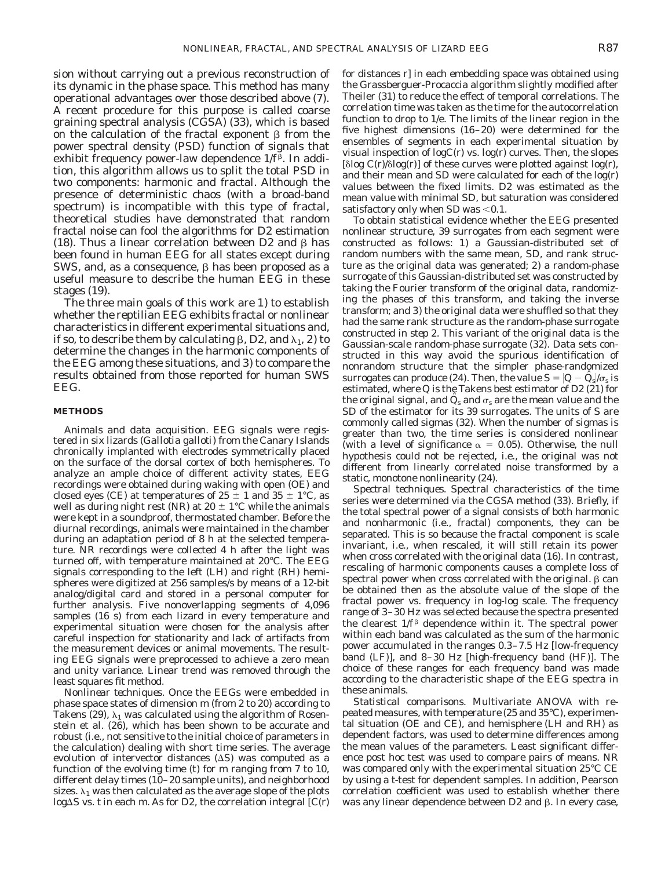sion without carrying out a previous reconstruction of its dynamic in the phase space. This method has many operational advantages over those described above (7). A recent procedure for this purpose is called coarse graining spectral analysis (CGSA) (33), which is based on the calculation of the fractal exponent  $\beta$  from the power spectral density (PSD) function of signals that exhibit frequency power-law dependence  $1/f<sup>\beta</sup>$ . In addition, this algorithm allows us to split the total PSD in two components: harmonic and fractal. Although the presence of deterministic chaos (with a broad-band spectrum) is incompatible with this type of fractal, theoretical studies have demonstrated that random fractal noise can fool the algorithms for D2 estimation  $(18)$ . Thus a linear correlation between D2 and  $\beta$  has been found in human EEG for all states except during SWS, and, as a consequence,  $\beta$  has been proposed as a useful measure to describe the human EEG in these stages (19).

The three main goals of this work are *1*) to establish whether the reptilian EEG exhibits fractal or nonlinear characteristics in different experimental situations and, if so, to describe them by calculating  $\beta$ , D2, and  $\lambda_1$ , 2) to determine the changes in the harmonic components of the EEG among these situations, and *3*) to compare the results obtained from those reported for human SWS EEG.

### **METHODS**

*Animals and data acquisition.* EEG signals were registered in six lizards (*Gallotia galloti*) from the Canary Islands chronically implanted with electrodes symmetrically placed on the surface of the dorsal cortex of both hemispheres. To analyze an ample choice of different activity states, EEG recordings were obtained during waking with open (OE) and closed eyes (CE) at temperatures of  $25 \pm 1$  and  $35 \pm 1$ °C, as well as during night rest (NR) at  $20 \pm 1$ °C while the animals were kept in a soundproof, thermostated chamber. Before the diurnal recordings, animals were maintained in the chamber during an adaptation period of 8 h at the selected temperature. NR recordings were collected 4 h after the light was turned off, with temperature maintained at 20°C. The EEG signals corresponding to the left (LH) and right (RH) hemispheres were digitized at 256 samples/s by means of a 12-bit analog/digital card and stored in a personal computer for further analysis. Five nonoverlapping segments of 4,096 samples (16 s) from each lizard in every temperature and experimental situation were chosen for the analysis after careful inspection for stationarity and lack of artifacts from the measurement devices or animal movements. The resulting EEG signals were preprocessed to achieve a zero mean and unity variance. Linear trend was removed through the least squares fit method.

*Nonlinear techniques*. Once the EEGs were embedded in phase space states of dimension *m* (from 2 to 20) according to Takens (29),  $\lambda_1$  was calculated using the algorithm of Rosenstein et al. (26), which has been shown to be accurate and robust (i.e., not sensitive to the initial choice of parameters in the calculation) dealing with short time series. The average evolution of intervector distances  $(\Delta S)$  was computed as a function of the evolving time (*t*) for *m* ranging from 7 to 10, different delay times (10–20 sample units), and neighborhood sizes.  $\lambda_1$  was then calculated as the average slope of the plots  $log\Delta S$  vs. *t* in each *m*. As for D2, the correlation integral [C(r)

for distances r] in each embedding space was obtained using the Grassberguer-Procaccia algorithm slightly modified after Theiler (31) to reduce the effect of temporal correlations. The correlation time was taken as the time for the autocorrelation function to drop to 1/e. The limits of the linear region in the five highest dimensions (16–20) were determined for the ensembles of segments in each experimental situation by visual inspection of  $logC(r)$  vs.  $log(r)$  curves. Then, the slopes  $[\delta \log C(r)/\delta \log(r)]$  of these curves were plotted against  $\log(r)$ , and their mean and SD were calculated for each of the log(r) values between the fixed limits. D2 was estimated as the mean value with minimal SD, but saturation was considered satisfactory only when SD was  $<$  0.1.

To obtain statistical evidence whether the EEG presented nonlinear structure, 39 surrogates from each segment were constructed as follows: *1*) a Gaussian-distributed set of random numbers with the same mean, SD, and rank structure as the original data was generated; *2*) a random-phase surrogate of this Gaussian-distributed set was constructed by taking the Fourier transform of the original data, randomizing the phases of this transform, and taking the inverse transform; and *3*) the original data were shuffled so that they had the same rank structure as the random-phase surrogate constructed in *step 2*. This variant of the original data is the Gaussian-scale random-phase surrogate (32). Data sets constructed in this way avoid the spurious identification of nonrandom structure that the simpler phase-randomized surrogates can produce (24). Then, the value  $S = |Q - \hat{Q}_s|/\sigma_s$  is estimated, where Q is the Takens best estimator of D2 (21) for the original signal, and  $Q_s$  and  $\sigma_s$  are the mean value and the SD of the estimator for its 39 surrogates. The units of S are commonly called sigmas (32). When the number of sigmas is greater than two, the time series is considered nonlinear (with a level of significance  $\alpha = 0.05$ ). Otherwise, the null hypothesis could not be rejected, i.e., the original was not different from linearly correlated noise transformed by a static, monotone nonlinearity (24).

*Spectral techniques.* Spectral characteristics of the time series were determined via the CGSA method (33). Briefly, if the total spectral power of a signal consists of both harmonic and nonharmonic (i.e., fractal) components, they can be separated. This is so because the fractal component is scale invariant, i.e., when rescaled, it will still retain its power when cross correlated with the original data (16). In contrast, rescaling of harmonic components causes a complete loss of spectral power when cross correlated with the original.  $\beta$  can be obtained then as the absolute value of the slope of the fractal power vs. frequency in log-log scale. The frequency range of 3–30 Hz was selected because the spectra presented the clearest  $1/f^{\beta}$  dependence within it. The spectral power within each band was calculated as the sum of the harmonic power accumulated in the ranges 0.3–7.5 Hz [low-frequency band (LF)], and 8–30 Hz [high-frequency band (HF)]. The choice of these ranges for each frequency band was made according to the characteristic shape of the EEG spectra in these animals.

*Statistical comparisons.* Multivariate ANOVA with repeated measures, with temperature (25 and 35°C), experimental situation (OE and CE), and hemisphere (LH and RH) as dependent factors, was used to determine differences among the mean values of the parameters. Least significant difference post hoc test was used to compare pairs of means. NR was compared only with the experimental situation 25°C CE by using a *t*-test for dependent samples. In addition, Pearson correlation coefficient was used to establish whether there was any linear dependence between  $D2$  and  $\beta$ . In every case,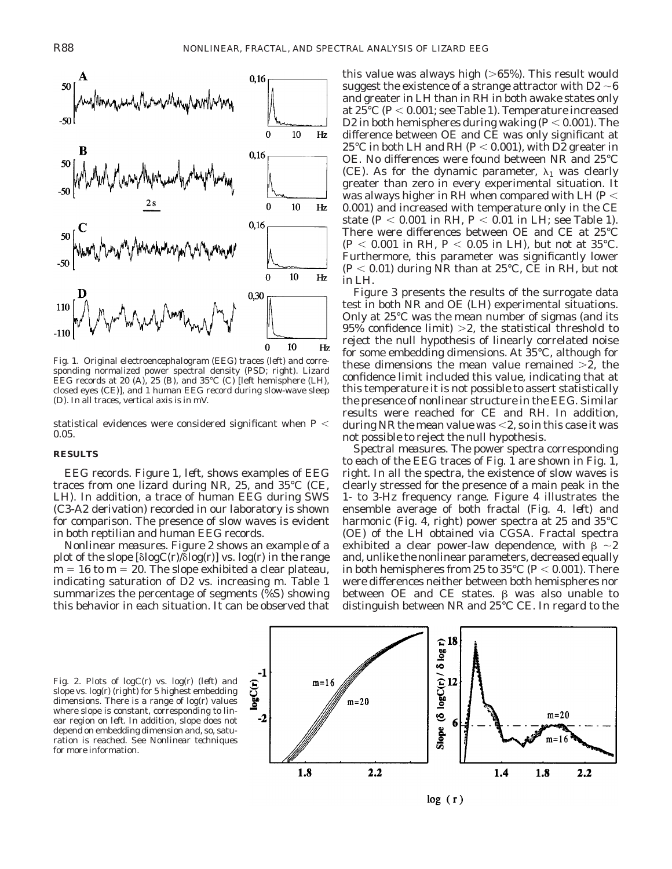

Fig. 1. Original electroencephalogram (EEG) traces (*left*) and corresponding normalized power spectral density (PSD; *right*). Lizard EEG records at 20 (*A*), 25 (*B*), and 35°C (*C*) [left hemisphere (LH), closed eyes (CE)], and 1 human EEG record during slow-wave sleep (*D*). In all traces, vertical axis is in mV.

statistical evidences were considered significant when  $P \leq$ 0.05.

#### **RESULTS**

*EEG records*. Figure 1, *left*, shows examples of EEG traces from one lizard during NR, 25, and 35°C (CE, LH). In addition, a trace of human EEG during SWS (C3-A2 derivation) recorded in our laboratory is shown for comparison. The presence of slow waves is evident in both reptilian and human EEG records.

*Nonlinear measures.* Figure 2 shows an example of a plot of the slope  $[\delta \log C(r)/\delta \log(r)]$  vs. log(r) in the range  $m = 16$  to  $m = 20$ . The slope exhibited a clear plateau, indicating saturation of D2 vs. increasing *m*. Table 1 summarizes the percentage of segments (%S) showing this behavior in each situation. It can be observed that

this value was always high  $(>65%)$ . This result would suggest the existence of a strange attractor with D2  $\sim$ 6 and greater in LH than in RH in both awake states only at  $25^{\circ}$ C ( $P$  < 0.001; see Table 1). Temperature increased D2 in both hemispheres during waking  $(P < 0.001)$ . The difference between OE and CE was only significant at 25<sup>°</sup>C in both LH and RH ( $P < 0.001$ ), with D2 greater in OE. No differences were found between NR and 25°C (CE). As for the dynamic parameter,  $\lambda_1$  was clearly greater than zero in every experimental situation. It was always higher in RH when compared with LH ( $P$   $<$ 0.001) and increased with temperature only in the CE state ( $P < 0.001$  in RH,  $P < 0.01$  in LH; see Table 1). There were differences between OE and CE at 25°C  $(P < 0.001$  in RH,  $P < 0.05$  in LH), but not at 35°C. Furthermore, this parameter was significantly lower  $(P< 0.01)$  during NR than at 25<sup>°</sup>C, CE in RH, but not in LH.

Figure 3 presents the results of the surrogate data test in both NR and OE (LH) experimental situations. Only at 25°C was the mean number of sigmas (and its 95% confidence limit)  $>2$ , the statistical threshold to reject the null hypothesis of linearly correlated noise for some embedding dimensions. At 35°C, although for these dimensions the mean value remained  $>2$ , the confidence limit included this value, indicating that at this temperature it is not possible to assert statistically the presence of nonlinear structure in the EEG. Similar results were reached for CE and RH. In addition, during NR the mean value was  $<$ 2, so in this case it was not possible to reject the null hypothesis.

*Spectral measures.* The power spectra corresponding to each of the EEG traces of Fig. 1 are shown in Fig. 1, *right*. In all the spectra, the existence of slow waves is clearly stressed for the presence of a main peak in the 1- to 3-Hz frequency range. Figure 4 illustrates the ensemble average of both fractal (Fig. 4. *left*) and harmonic (Fig. 4, *right*) power spectra at 25 and 35°C (OE) of the LH obtained via CGSA. Fractal spectra exhibited a clear power-law dependence, with  $\beta \sim 2$ and, unlike the nonlinear parameters, decreased equally in both hemispheres from 25 to  $35^{\circ}$ C (*P* < 0.001). There were differences neither between both hemispheres nor between OE and CE states.  $\beta$  was also unable to distinguish between NR and 25°C CE. In regard to the

Fig. 2. Plots of logC(r) vs. log(r) (*left*) and slope vs. log(r) (*right*) for 5 highest embedding dimensions. There is a range of log(r) values where slope is constant, corresponding to linear region on *left*. In addition, slope does not depend on embedding dimension and, so, saturation is reached. See *Nonlinear techniques* for more information.



 $log(r)$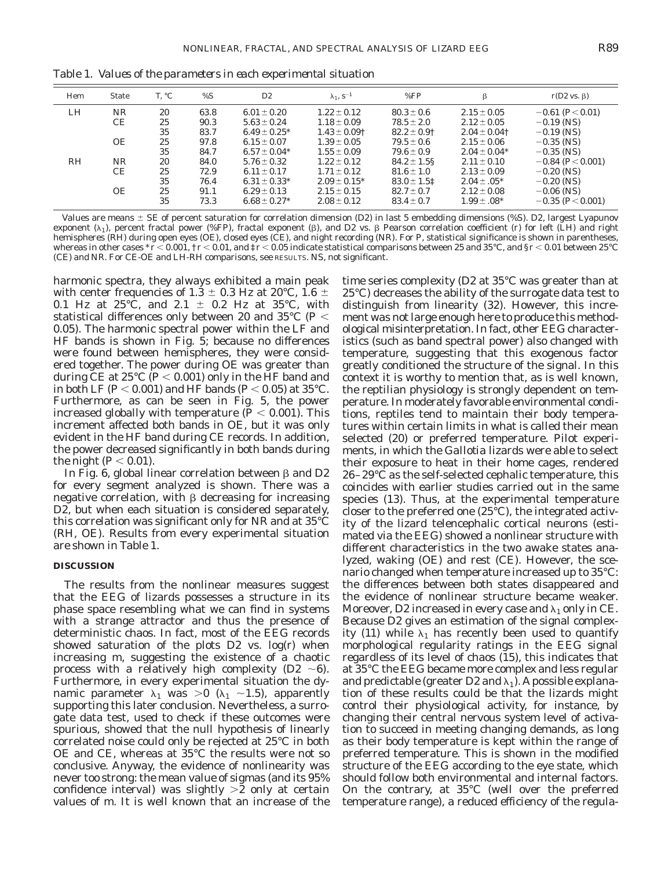| Hem       | <b>State</b> | T. °C | %S   | D <sub>2</sub>   | $\lambda_1$ , $S^{-1}$ | %FP              | β                 | $r(D2 \text{ vs. } \beta)$ |
|-----------|--------------|-------|------|------------------|------------------------|------------------|-------------------|----------------------------|
| LH        | <b>NR</b>    | 20    | 63.8 | $6.01 \pm 0.20$  | $1.22 \pm 0.12$        | $80.3 \pm 0.6$   | $2.15 \pm 0.05$   | $-0.61$ (P $< 0.01$ )      |
|           | CE           | 25    | 90.3 | $5.63 \pm 0.24$  | $1.18 \pm 0.09$        | $78.5 \pm 2.0$   | $2.12 \pm 0.05$   | $-0.19$ (NS)               |
|           |              | 35    | 83.7 | $6.49 \pm 0.25*$ | $1.43 \pm 0.09$ †      | $82.2 \pm 0.9$ † | $2.04 \pm 0.04$ † | $-0.19$ (NS)               |
|           | <b>OE</b>    | 25    | 97.8 | 6.15 $\pm$ 0.07  | $1.39 \pm 0.05$        | $79.5 \pm 0.6$   | $2.15 \pm 0.06$   | $-0.35$ (NS)               |
|           |              | 35    | 84.7 | $6.57 \pm 0.04*$ | $1.55 \pm 0.09$        | $79.6 \pm 0.9$   | $2.04 \pm 0.04*$  | $-0.35$ (NS)               |
| <b>RH</b> | <b>NR</b>    | 20    | 84.0 | $5.76 \pm 0.32$  | $1.22 \pm 0.12$        | $84.2 \pm 1.58$  | $2.11 \pm 0.10$   | $-0.84$ ( $P< 0.001$ )     |
|           | CE           | 25    | 72.9 | $6.11 \pm 0.17$  | $1.71 \pm 0.12$        | $81.6 \pm 1.0$   | $2.13 \pm 0.09$   | $-0.20$ (NS)               |
|           |              | 35    | 76.4 | $6.31 \pm 0.33*$ | $2.09 \pm 0.15^*$      | $83.0 \pm 1.51$  | $2.04 \pm .05*$   | $-0.20$ (NS)               |
|           | <b>OE</b>    | 25    | 91.1 | $6.29 \pm 0.13$  | $2.15 \pm 0.15$        | $82.7 \pm 0.7$   | $2.12 \pm 0.08$   | $-0.06$ (NS)               |
|           |              | 35    | 73.3 | $6.68 \pm 0.27*$ | $2.08 \pm 0.12$        | $83.4 \pm 0.7$   | $1.99 \pm .08*$   | $-0.35(P<0.001)$           |

Table 1. *Values of the parameters in each experimental situation*

Values are means  $\pm$  SE of percent saturation for correlation dimension (D2) in last 5 embedding dimensions (%S). D2, largest Lyapunov exponent  $(\lambda_1)$ , percent fractal power (%FP), fractal exponent ( $\beta$ ), and D2 vs.  $\beta$  Pearson correlation coefficient (*r*) for left (LH) and right hemispheres (RH) during open eyes (OE), closed eyes (CE), and night recording (NR). For *P*, statistical significance is shown in parentheses, whereas in other cases \*  $r$  < 0.001, †  $r$  < 0.01, and ‡  $r$  < 0.05 indicate statistical comparisons between 25 and 35°C, and §  $r$  < 0.01 between 25°C (CE) and NR. For CE-OE and LH-RH comparisons, see RESULTS. NS, not significant.

harmonic spectra, they always exhibited a main peak with center frequencies of 1.3  $\pm$  0.3 Hz at 20°C, 1.6  $\pm$ 0.1 Hz at 25°C, and 2.1  $\pm$  0.2 Hz at 35°C, with statistical differences only between 20 and 35°C ( $P\,{<}\,$ 0.05). The harmonic spectral power within the LF and HF bands is shown in Fig. 5; because no differences were found between hemispheres, they were considered together. The power during OE was greater than during CE at  $25^{\circ}$ C ( $P$  < 0.001) only in the HF band and in both LF (*P* < 0.001) and HF bands (*P* < 0.05) at 35 °C. Furthermore, as can be seen in Fig. 5, the power increased globally with temperature  $(P < 0.001)$ . This increment affected both bands in OE, but it was only evident in the HF band during CE records. In addition, the power decreased significantly in both bands during the night  $(P < 0.01)$ .

In Fig. 6, global linear correlation between  $\beta$  and D2 for every segment analyzed is shown. There was a negative correlation, with  $\beta$  decreasing for increasing D2, but when each situation is considered separately, this correlation was significant only for NR and at 35°C (RH, OE). Results from every experimental situation are shown in Table 1.

#### **DISCUSSION**

The results from the nonlinear measures suggest that the EEG of lizards possesses a structure in its phase space resembling what we can find in systems with a strange attractor and thus the presence of deterministic chaos. In fact, most of the EEG records showed saturation of the plots D2 vs. log(r) when increasing *m*, suggesting the existence of a chaotic process with a relatively high complexity (D2  $\sim$ 6). Furthermore, in every experimental situation the dynamic parameter  $\lambda_1$  was  $>0$  ( $\lambda_1$  ~1.5), apparently supporting this later conclusion. Nevertheless, a surrogate data test, used to check if these outcomes were spurious, showed that the null hypothesis of linearly correlated noise could only be rejected at 25°C in both OE and CE, whereas at 35°C the results were not so conclusive. Anyway, the evidence of nonlinearity was never too strong: the mean value of sigmas (and its 95% confidence interval) was slightly  $>2$  only at certain values of *m*. It is well known that an increase of the

time series complexity (D2 at 35°C was greater than at 25°C) decreases the ability of the surrogate data test to distinguish from linearity (32). However, this increment was not large enough here to produce this methodological misinterpretation. In fact, other EEG characteristics (such as band spectral power) also changed with temperature, suggesting that this exogenous factor greatly conditioned the structure of the signal. In this context it is worthy to mention that, as is well known, the reptilian physiology is strongly dependent on temperature. In moderately favorable environmental conditions, reptiles tend to maintain their body temperatures within certain limits in what is called their mean selected (20) or preferred temperature. Pilot experiments, in which the *Gallotia* lizards were able to select their exposure to heat in their home cages, rendered 26–29°C as the self-selected cephalic temperature, this coincides with earlier studies carried out in the same species (13). Thus, at the experimental temperature closer to the preferred one (25°C), the integrated activity of the lizard telencephalic cortical neurons (estimated via the EEG) showed a nonlinear structure with different characteristics in the two awake states analyzed, waking (OE) and rest (CE). However, the scenario changed when temperature increased up to 35°C: the differences between both states disappeared and the evidence of nonlinear structure became weaker. Moreover, D2 increased in every case and  $\lambda_1$  only in CE. Because D2 gives an estimation of the signal complexity (11) while  $\lambda_1$  has recently been used to quantify morphological regularity ratings in the EEG signal regardless of its level of chaos (15), this indicates that at 35°C the EEG became more complex and less regular and predictable (greater D2 and  $\lambda_1$ ). A possible explanation of these results could be that the lizards might control their physiological activity, for instance, by changing their central nervous system level of activation to succeed in meeting changing demands, as long as their body temperature is kept within the range of preferred temperature. This is shown in the modified structure of the EEG according to the eye state, which should follow both environmental and internal factors. On the contrary, at 35°C (well over the preferred temperature range), a reduced efficiency of the regula-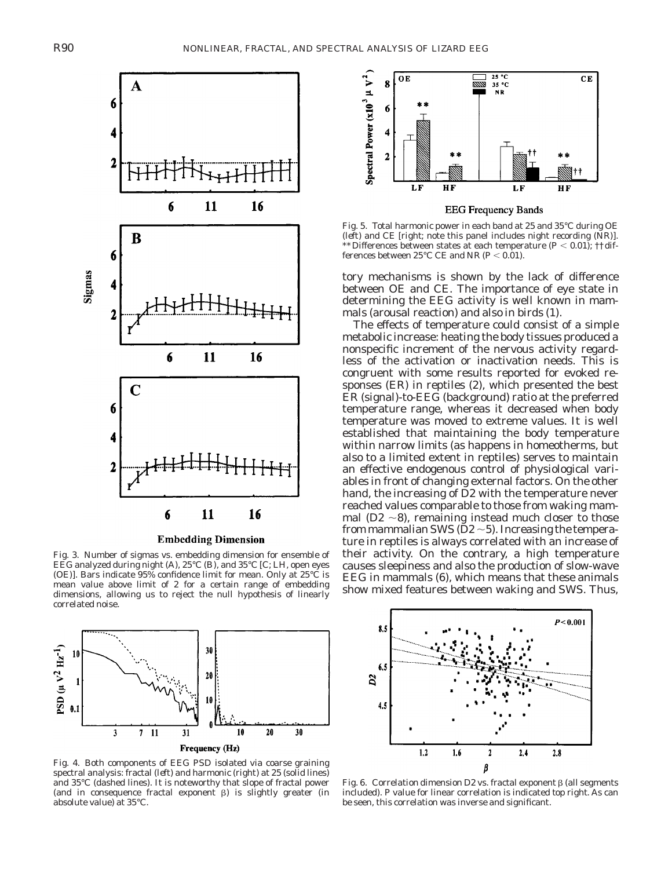

#### **Embedding Dimension**

Fig. 3. Number of sigmas vs. embedding dimension for ensemble of EEG analyzed during night (*A*), 25°C (*B*), and 35°C [*C*; LH, open eyes (OE)]. Bars indicate 95% confidence limit for mean. Only at 25°C is mean value above limit of 2 for a certain range of embedding dimensions, allowing us to reject the null hypothesis of linearly correlated noise.



Fig. 4. Both components of EEG PSD isolated via coarse graining spectral analysis: fractal (*left*) and harmonic (*right*) at 25 (solid lines) and 35°C (dashed lines). It is noteworthy that slope of fractal power (and in consequence fractal exponent  $\beta$ ) is slightly greater (in absolute value) at 35°C.



Fig. 5. Total harmonic power in each band at 25 and 35°C during OE (*left*) and CE [*right*; note this panel includes night recording (NR)]. \*\*Differences between states at each temperature ( $P < 0.01$ ); ††dif-

tory mechanisms is shown by the lack of difference between OE and CE. The importance of eye state in determining the EEG activity is well known in mammals (arousal reaction) and also in birds (1).

ferences between 25°C CE and NR  $(P < 0.01)$ .

The effects of temperature could consist of a simple metabolic increase: heating the body tissues produced a nonspecific increment of the nervous activity regardless of the activation or inactivation needs. This is congruent with some results reported for evoked responses (ER) in reptiles (2), which presented the best ER (signal)-to-EEG (background) ratio at the preferred temperature range, whereas it decreased when body temperature was moved to extreme values. It is well established that maintaining the body temperature within narrow limits (as happens in homeotherms, but also to a limited extent in reptiles) serves to maintain an effective endogenous control of physiological variables in front of changing external factors. On the other hand, the increasing of D2 with the temperature never reached values comparable to those from waking mammal (D2  $\sim$ 8), remaining instead much closer to those from mammalian SWS ( $D2 \sim 5$ ). Increasing the temperature in reptiles is always correlated with an increase of their activity. On the contrary, a high temperature causes sleepiness and also the production of slow-wave EEG in mammals (6), which means that these animals show mixed features between waking and SWS. Thus,



Fig. 6. Correlation dimension D2 vs. fractal exponent  $\beta$  (all segments included). *P* value for linear correlation is indicated *top right*. As can be seen, this correlation was inverse and significant.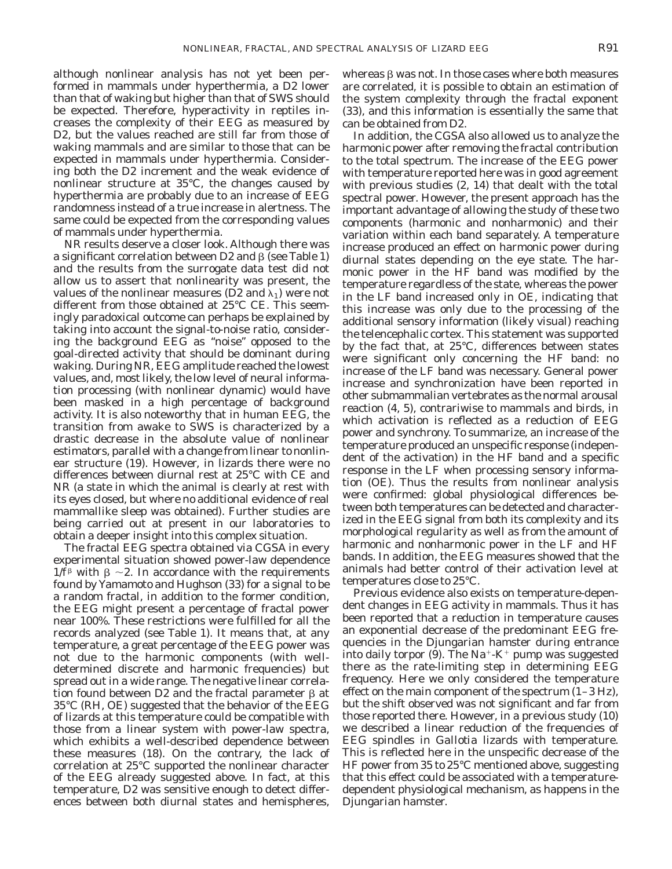although nonlinear analysis has not yet been performed in mammals under hyperthermia, a D2 lower than that of waking but higher than that of SWS should be expected. Therefore, hyperactivity in reptiles increases the complexity of their EEG as measured by D2, but the values reached are still far from those of waking mammals and are similar to those that can be expected in mammals under hyperthermia. Considering both the D2 increment and the weak evidence of nonlinear structure at 35°C, the changes caused by hyperthermia are probably due to an increase of EEG randomness instead of a true increase in alertness. The same could be expected from the corresponding values of mammals under hyperthermia.

NR results deserve a closer look. Although there was a significant correlation between D2 and  $\beta$  (see Table 1) and the results from the surrogate data test did not allow us to assert that nonlinearity was present, the values of the nonlinear measures (D2 and  $\lambda_1$ ) were not different from those obtained at 25°C CE. This seemingly paradoxical outcome can perhaps be explained by taking into account the signal-to-noise ratio, considering the background EEG as ''noise'' opposed to the goal-directed activity that should be dominant during waking. During NR, EEG amplitude reached the lowest values, and, most likely, the low level of neural information processing (with nonlinear dynamic) would have been masked in a high percentage of background activity. It is also noteworthy that in human EEG, the transition from awake to SWS is characterized by a drastic decrease in the absolute value of nonlinear estimators, parallel with a change from linear to nonlinear structure (19). However, in lizards there were no differences between diurnal rest at 25°C with CE and NR (a state in which the animal is clearly at rest with its eyes closed, but where no additional evidence of real mammallike sleep was obtained). Further studies are being carried out at present in our laboratories to obtain a deeper insight into this complex situation.

The fractal EEG spectra obtained via CGSA in every experimental situation showed power-law dependence  $1/f^{\beta}$  with  $\beta \sim 2$ . In accordance with the requirements found by Yamamoto and Hughson (33) for a signal to be a random fractal, in addition to the former condition, the EEG might present a percentage of fractal power near 100%. These restrictions were fulfilled for all the records analyzed (see Table 1). It means that, at any temperature, a great percentage of the EEG power was not due to the harmonic components (with welldetermined discrete and harmonic frequencies) but spread out in a wide range. The negative linear correlation found between D2 and the fractal parameter  $\beta$  at 35°C (RH, OE) suggested that the behavior of the EEG of lizards at this temperature could be compatible with those from a linear system with power-law spectra, which exhibits a well-described dependence between these measures (18). On the contrary, the lack of correlation at 25°C supported the nonlinear character of the EEG already suggested above. In fact, at this temperature, D2 was sensitive enough to detect differences between both diurnal states and hemispheres,

whereas  $\beta$  was not. In those cases where both measures are correlated, it is possible to obtain an estimation of the system complexity through the fractal exponent (33), and this information is essentially the same that can be obtained from D2.

In addition, the CGSA also allowed us to analyze the harmonic power after removing the fractal contribution to the total spectrum. The increase of the EEG power with temperature reported here was in good agreement with previous studies (2, 14) that dealt with the total spectral power. However, the present approach has the important advantage of allowing the study of these two components (harmonic and nonharmonic) and their variation within each band separately. A temperature increase produced an effect on harmonic power during diurnal states depending on the eye state. The harmonic power in the HF band was modified by the temperature regardless of the state, whereas the power in the LF band increased only in OE, indicating that this increase was only due to the processing of the additional sensory information (likely visual) reaching the telencephalic cortex. This statement was supported by the fact that, at 25°C, differences between states were significant only concerning the HF band: no increase of the LF band was necessary. General power increase and synchronization have been reported in other submammalian vertebrates as the normal arousal reaction (4, 5), contrariwise to mammals and birds, in which activation is reflected as a reduction of EEG power and synchrony. To summarize, an increase of the temperature produced an unspecific response (independent of the activation) in the HF band and a specific response in the LF when processing sensory information (OE). Thus the results from nonlinear analysis were confirmed: global physiological differences between both temperatures can be detected and characterized in the EEG signal from both its complexity and its morphological regularity as well as from the amount of harmonic and nonharmonic power in the LF and HF bands. In addition, the EEG measures showed that the animals had better control of their activation level at temperatures close to 25°C.

Previous evidence also exists on temperature-dependent changes in EEG activity in mammals. Thus it has been reported that a reduction in temperature causes an exponential decrease of the predominant EEG frequencies in the Djungarian hamster during entrance into daily torpor (9). The Na<sup>+</sup>-K<sup>+</sup> pump was suggested there as the rate-limiting step in determining EEG frequency. Here we only considered the temperature effect on the main component of the spectrum (1–3 Hz), but the shift observed was not significant and far from those reported there. However, in a previous study (10) we described a linear reduction of the frequencies of EEG spindles in *Gallotia* lizards with temperature. This is reflected here in the unspecific decrease of the HF power from 35 to 25°C mentioned above, suggesting that this effect could be associated with a temperaturedependent physiological mechanism, as happens in the Djungarian hamster.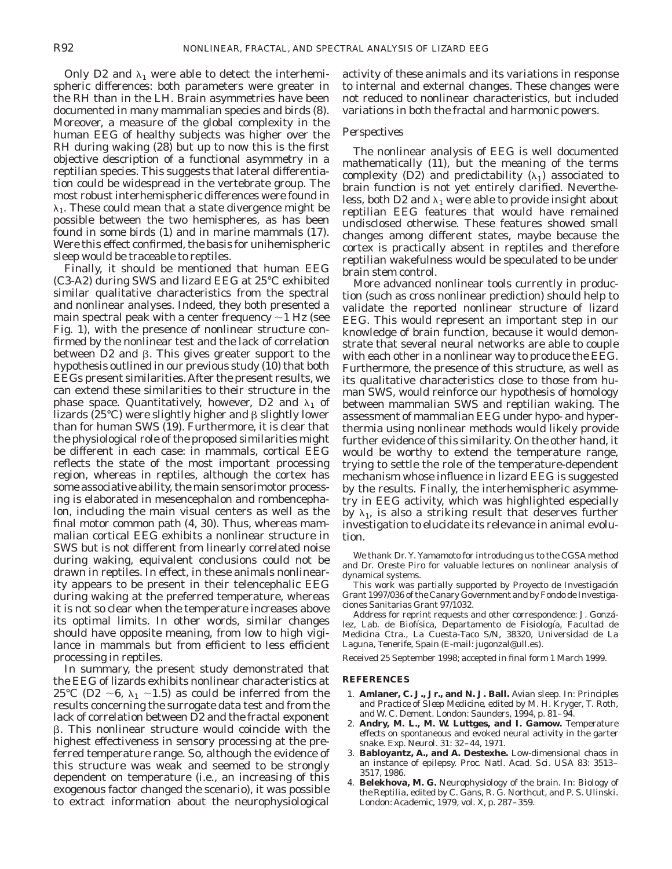Only D2 and  $\lambda_1$  were able to detect the interhemispheric differences: both parameters were greater in the RH than in the LH. Brain asymmetries have been documented in many mammalian species and birds (8). Moreover, a measure of the global complexity in the human EEG of healthy subjects was higher over the RH during waking (28) but up to now this is the first objective description of a functional asymmetry in a reptilian species. This suggests that lateral differentiation could be widespread in the vertebrate group. The most robust interhemispheric differences were found in  $\lambda_1$ . These could mean that a state divergence might be possible between the two hemispheres, as has been found in some birds (1) and in marine mammals (17). Were this effect confirmed, the basis for unihemispheric sleep would be traceable to reptiles.

Finally, it should be mentioned that human EEG (C3-A2) during SWS and lizard EEG at 25°C exhibited similar qualitative characteristics from the spectral and nonlinear analyses. Indeed, they both presented a main spectral peak with a center frequency  $\sim$ 1 Hz (see Fig. 1), with the presence of nonlinear structure confirmed by the nonlinear test and the lack of correlation between  $D2$  and  $\beta$ . This gives greater support to the hypothesis outlined in our previous study (10) that both EEGs present similarities. After the present results, we can extend these similarities to their structure in the phase space. Quantitatively, however, D2 and  $\lambda_1$  of lizards (25°C) were slightly higher and  $\beta$  slightly lower than for human SWS (19). Furthermore, it is clear that the physiological role of the proposed similarities might be different in each case: in mammals, cortical EEG reflects the state of the most important processing region, whereas in reptiles, although the cortex has some associative ability, the main sensorimotor processing is elaborated in mesencephalon and rombencephalon, including the main visual centers as well as the final motor common path (4, 30). Thus, whereas mammalian cortical EEG exhibits a nonlinear structure in SWS but is not different from linearly correlated noise during waking, equivalent conclusions could not be drawn in reptiles. In effect, in these animals nonlinearity appears to be present in their telencephalic EEG during waking at the preferred temperature, whereas it is not so clear when the temperature increases above its optimal limits. In other words, similar changes should have opposite meaning, from low to high vigilance in mammals but from efficient to less efficient processing in reptiles.

In summary, the present study demonstrated that the EEG of lizards exhibits nonlinear characteristics at 25<sup>°</sup>C (D2  $\sim$ 6,  $\lambda_1 \sim$ 1.5) as could be inferred from the results concerning the surrogate data test and from the lack of correlation between D2 and the fractal exponent  $\beta$ . This nonlinear structure would coincide with the highest effectiveness in sensory processing at the preferred temperature range. So, although the evidence of this structure was weak and seemed to be strongly dependent on temperature (i.e., an increasing of this exogenous factor changed the scenario), it was possible to extract information about the neurophysiological

activity of these animals and its variations in response to internal and external changes. These changes were not reduced to nonlinear characteristics, but included variations in both the fractal and harmonic powers.

#### *Perspectives*

The nonlinear analysis of EEG is well documented mathematically (11), but the meaning of the terms complexity (D2) and predictability  $(\lambda_1)$  associated to brain function is not yet entirely clarified. Nevertheless, both D2 and  $\lambda_1$  were able to provide insight about reptilian EEG features that would have remained undisclosed otherwise. These features showed small changes among different states, maybe because the cortex is practically absent in reptiles and therefore reptilian wakefulness would be speculated to be under brain stem control.

More advanced nonlinear tools currently in production (such as cross nonlinear prediction) should help to validate the reported nonlinear structure of lizard EEG. This would represent an important step in our knowledge of brain function, because it would demonstrate that several neural networks are able to couple with each other in a nonlinear way to produce the EEG. Furthermore, the presence of this structure, as well as its qualitative characteristics close to those from human SWS, would reinforce our hypothesis of homology between mammalian SWS and reptilian waking. The assessment of mammalian EEG under hypo- and hyperthermia using nonlinear methods would likely provide further evidence of this similarity. On the other hand, it would be worthy to extend the temperature range, trying to settle the role of the temperature-dependent mechanism whose influence in lizard EEG is suggested by the results. Finally, the interhemispheric asymmetry in EEG activity, which was highlighted especially by  $\lambda_1$ , is also a striking result that deserves further investigation to elucidate its relevance in animal evolution.

We thank Dr. Y. Yamamoto for introducing us to the CGSA method and Dr. Oreste Piro for valuable lectures on nonlinear analysis of dynamical systems.

This work was partially supported by Proyecto de Investigación Grant 1997/036 of the Canary Government and by Fondo de Investigaciones Sanitarias Grant 97/1032.

Address for reprint requests and other correspondence: J. González, Lab. de Biofísica, Departamento de Fisiología, Facultad de Medicina Ctra., La Cuesta-Taco S/N, 38320, Universidad de La Laguna, Tenerife, Spain (E-mail: jugonzal@ull.es).

Received 25 September 1998; accepted in final form 1 March 1999.

#### **REFERENCES**

- 1. **Amlaner, C. J., Jr., and N. J. Ball.** Avian sleep. In: *Principles and Practice of Sleep Medicine,* edited by M. H. Kryger, T. Roth, and W. C. Dement. London: Saunders, 1994, p. 81–94.
- 2. **Andry, M. L., M. W. Luttges, and I. Gamow.** Temperature effects on spontaneous and evoked neural activity in the garter snake. *Exp. Neurol*. 31: 32–44, 1971.
- 3. **Babloyantz, A., and A. Destexhe.** Low-dimensional chaos in an instance of epilepsy. *Proc. Natl. Acad. Sci. USA* 83: 3513– 3517, 1986.
- 4. **Belekhova, M. G.** Neurophysiology of the brain. In: *Biology of the Reptilia*, edited by C. Gans, R. G. Northcut, and P. S. Ulinski. London: Academic, 1979, vol. X, p. 287–359.